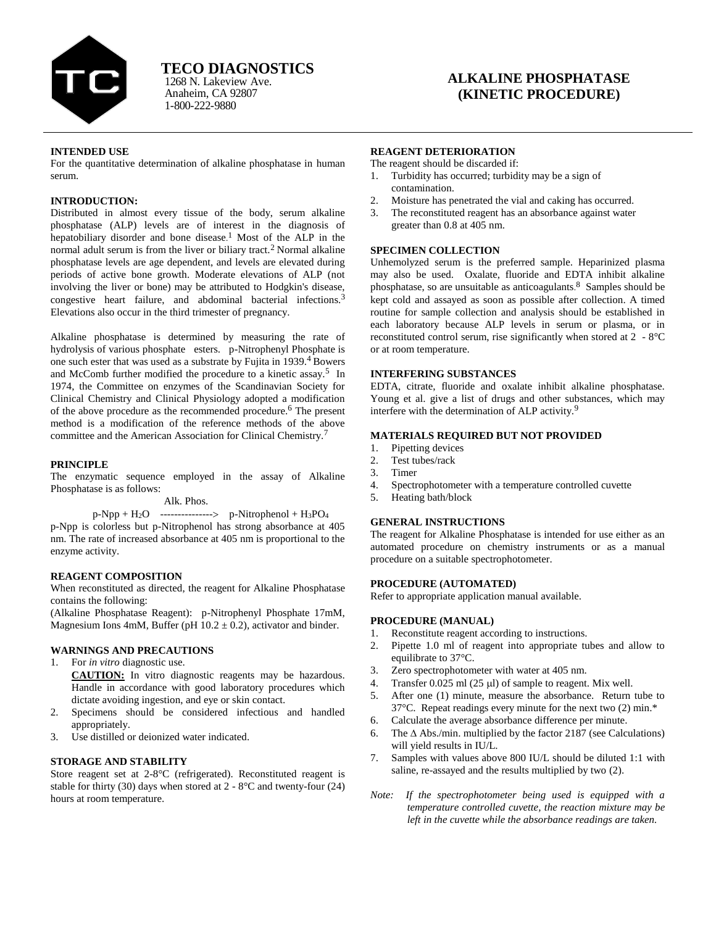

Anaheim, CA 92807 1-800-222-9880 1268 N. Lakeview Ave.

# **ALKALINE PHOSPHATASE (KINETIC PROCEDURE)**

#### **INTENDED USE**

For the quantitative determination of alkaline phosphatase in human serum.

## **INTRODUCTION:**

Distributed in almost every tissue of the body, serum alkaline phosphatase (ALP) levels are of interest in the diagnosis of hepatobiliary disorder and bone disease. <sup>1</sup> Most of the ALP in the normal adult serum is from the liver or biliary tract.<sup>2</sup> Normal alkaline phosphatase levels are age dependent, and levels are elevated during periods of active bone growth. Moderate elevations of ALP (not involving the liver or bone) may be attributed to Hodgkin's disease, congestive heart failure, and abdominal bacterial infections.<sup>3</sup> Elevations also occur in the third trimester of pregnancy.

Alkaline phosphatase is determined by measuring the rate of hydrolysis of various phosphate esters. p-Nitrophenyl Phosphate is one such ester that was used as a substrate by Fujita in 1939.4 Bowers and McComb further modified the procedure to a kinetic assay.<sup>5</sup> In 1974, the Committee on enzymes of the Scandinavian Society for Clinical Chemistry and Clinical Physiology adopted a modification of the above procedure as the recommended procedure.<sup>6</sup> The present method is a modification of the reference methods of the above committee and the American Association for Clinical Chemistry.<sup>7</sup>

#### **PRINCIPLE**

The enzymatic sequence employed in the assay of Alkaline Phosphatase is as follows:

#### Alk. Phos.

 $p-Npp + H_2O$  -------------->  $p-Nitrophenol + H_3PO_4$ p-Npp is colorless but p-Nitrophenol has strong absorbance at 405 nm. The rate of increased absorbance at 405 nm is proportional to the enzyme activity.

# **REAGENT COMPOSITION**

When reconstituted as directed, the reagent for Alkaline Phosphatase contains the following:

(Alkaline Phosphatase Reagent): p-Nitrophenyl Phosphate 17mM, Magnesium Ions 4mM, Buffer (pH  $10.2 \pm 0.2$ ), activator and binder.

# **WARNINGS AND PRECAUTIONS**

1. For *in vitro* diagnostic use.

**CAUTION:** In vitro diagnostic reagents may be hazardous. Handle in accordance with good laboratory procedures which dictate avoiding ingestion, and eye or skin contact.

- 2. Specimens should be considered infectious and handled appropriately.
- 3. Use distilled or deionized water indicated.

# **STORAGE AND STABILITY**

Store reagent set at 2-8°C (refrigerated). Reconstituted reagent is stable for thirty (30) days when stored at  $2 - 8$ °C and twenty-four (24) hours at room temperature.

#### **REAGENT DETERIORATION**

The reagent should be discarded if:

- 1. Turbidity has occurred; turbidity may be a sign of contamination.
- Moisture has penetrated the vial and caking has occurred.
- 3. The reconstituted reagent has an absorbance against water greater than 0.8 at 405 nm.

# **SPECIMEN COLLECTION**

Unhemolyzed serum is the preferred sample. Heparinized plasma may also be used. Oxalate, fluoride and EDTA inhibit alkaline phosphatase, so are unsuitable as anticoagulants. <sup>8</sup> Samples should be kept cold and assayed as soon as possible after collection. A timed routine for sample collection and analysis should be established in each laboratory because ALP levels in serum or plasma, or in reconstituted control serum, rise significantly when stored at 2 - 8°C or at room temperature.

## **INTERFERING SUBSTANCES**

EDTA, citrate, fluoride and oxalate inhibit alkaline phosphatase. Young et al. give a list of drugs and other substances, which may interfere with the determination of ALP activity.<sup>9</sup>

## **MATERIALS REQUIRED BUT NOT PROVIDED**

- 1. Pipetting devices
- 2. Test tubes/rack
- 3. Timer
- 4. Spectrophotometer with a temperature controlled cuvette
- 5. Heating bath/block

# **GENERAL INSTRUCTIONS**

The reagent for Alkaline Phosphatase is intended for use either as an automated procedure on chemistry instruments or as a manual procedure on a suitable spectrophotometer.

#### **PROCEDURE (AUTOMATED)**

Refer to appropriate application manual available.

# **PROCEDURE (MANUAL)**

- 1. Reconstitute reagent according to instructions.
- 2. Pipette 1.0 ml of reagent into appropriate tubes and allow to equilibrate to 37°C.
- 3. Zero spectrophotometer with water at 405 nm.
- 4. Transfer  $0.025$  ml (25 µl) of sample to reagent. Mix well.
- 5. After one (1) minute, measure the absorbance. Return tube to 37°C. Repeat readings every minute for the next two (2) min.\*
- 6. Calculate the average absorbance difference per minute.
- 6. The  $\triangle$  Abs./min. multiplied by the factor 2187 (see Calculations) will yield results in IU/L.
- 7. Samples with values above 800 IU/L should be diluted 1:1 with saline, re-assayed and the results multiplied by two (2).
- *Note: If the spectrophotometer being used is equipped with a temperature controlled cuvette, the reaction mixture may be left in the cuvette while the absorbance readings are taken.*